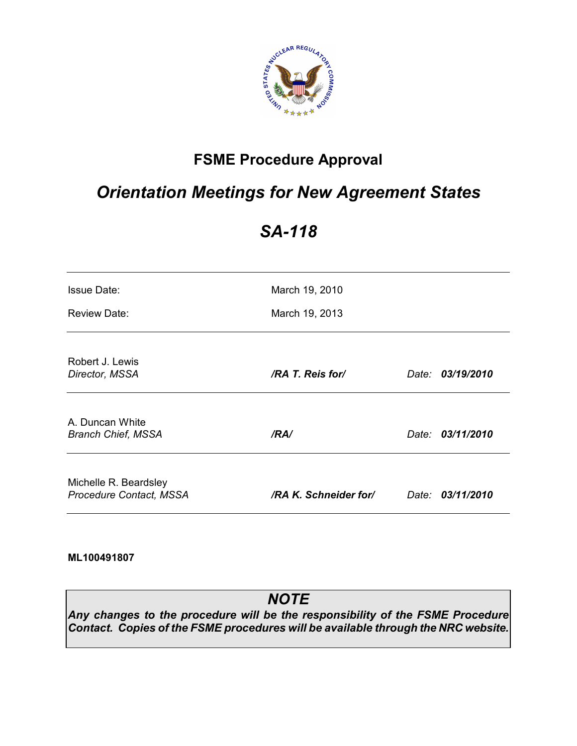

## **FSME Procedure Approval**

# *Orientation Meetings for New Agreement States*

# *SA-118*

| <b>Issue Date:</b>                               | March 19, 2010        |       |                  |
|--------------------------------------------------|-----------------------|-------|------------------|
| <b>Review Date:</b>                              | March 19, 2013        |       |                  |
| Robert J. Lewis<br>Director, MSSA                | /RA T. Reis for/      | Date: | 03/19/2010       |
| A. Duncan White<br><b>Branch Chief, MSSA</b>     | /RA/                  |       | Date: 03/11/2010 |
| Michelle R. Beardsley<br>Procedure Contact, MSSA | /RA K. Schneider for/ |       | Date: 03/11/2010 |

**ML100491807** 

## *NOTE*

*Any changes to the procedure will be the responsibility of the FSME Procedure Contact. Copies of the FSME procedures will be available through the NRC website.*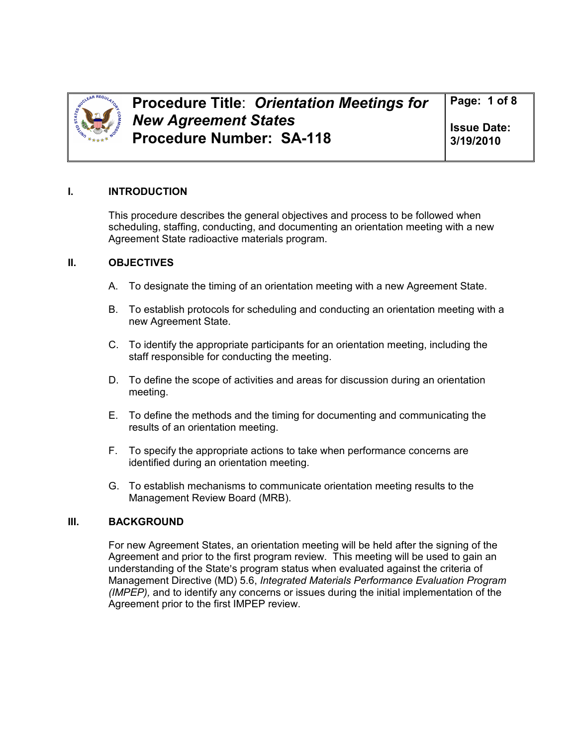

**Issue Date: 3/19/2010** 

### **I. INTRODUCTION**

This procedure describes the general objectives and process to be followed when scheduling, staffing, conducting, and documenting an orientation meeting with a new Agreement State radioactive materials program.

### **II. OBJECTIVES**

- A. To designate the timing of an orientation meeting with a new Agreement State.
- B. To establish protocols for scheduling and conducting an orientation meeting with a new Agreement State.
- C. To identify the appropriate participants for an orientation meeting, including the staff responsible for conducting the meeting.
- D. To define the scope of activities and areas for discussion during an orientation meeting.
- E. To define the methods and the timing for documenting and communicating the results of an orientation meeting.
- F. To specify the appropriate actions to take when performance concerns are identified during an orientation meeting.
- G. To establish mechanisms to communicate orientation meeting results to the Management Review Board (MRB).

### **III. BACKGROUND**

For new Agreement States, an orientation meeting will be held after the signing of the Agreement and prior to the first program review. This meeting will be used to gain an understanding of the State's program status when evaluated against the criteria of Management Directive (MD) 5.6, *Integrated Materials Performance Evaluation Program (IMPEP),* and to identify any concerns or issues during the initial implementation of the Agreement prior to the first IMPEP review.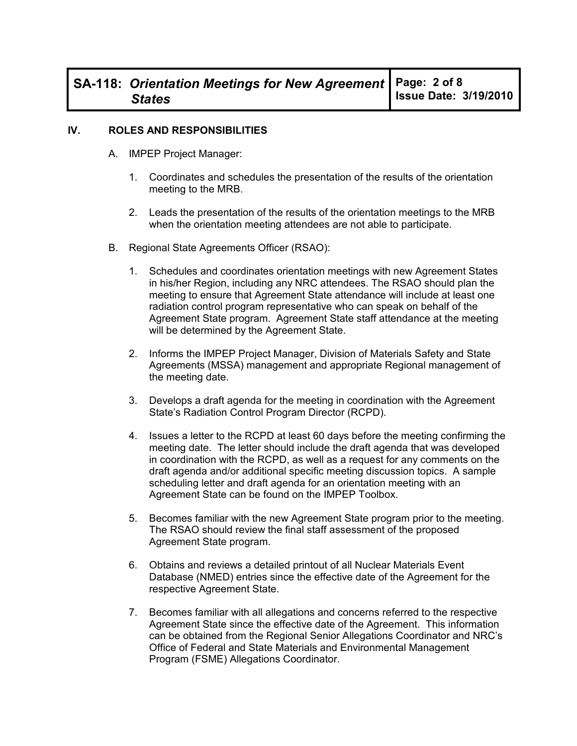#### **IV. ROLES AND RESPONSIBILITIES**

- A. IMPEP Project Manager:
	- 1. Coordinates and schedules the presentation of the results of the orientation meeting to the MRB.
	- 2. Leads the presentation of the results of the orientation meetings to the MRB when the orientation meeting attendees are not able to participate.
- B. Regional State Agreements Officer (RSAO):
	- 1. Schedules and coordinates orientation meetings with new Agreement States in his/her Region, including any NRC attendees. The RSAO should plan the meeting to ensure that Agreement State attendance will include at least one radiation control program representative who can speak on behalf of the Agreement State program. Agreement State staff attendance at the meeting will be determined by the Agreement State.
	- 2. Informs the IMPEP Project Manager, Division of Materials Safety and State Agreements (MSSA) management and appropriate Regional management of the meeting date.
	- 3. Develops a draft agenda for the meeting in coordination with the Agreement State's Radiation Control Program Director (RCPD).
	- 4. Issues a letter to the RCPD at least 60 days before the meeting confirming the meeting date. The letter should include the draft agenda that was developed in coordination with the RCPD, as well as a request for any comments on the draft agenda and/or additional specific meeting discussion topics. A sample scheduling letter and draft agenda for an orientation meeting with an Agreement State can be found on the IMPEP Toolbox.
	- 5. Becomes familiar with the new Agreement State program prior to the meeting. The RSAO should review the final staff assessment of the proposed Agreement State program.
	- 6. Obtains and reviews a detailed printout of all Nuclear Materials Event Database (NMED) entries since the effective date of the Agreement for the respective Agreement State.
	- 7. Becomes familiar with all allegations and concerns referred to the respective Agreement State since the effective date of the Agreement. This information can be obtained from the Regional Senior Allegations Coordinator and NRC's Office of Federal and State Materials and Environmental Management Program (FSME) Allegations Coordinator.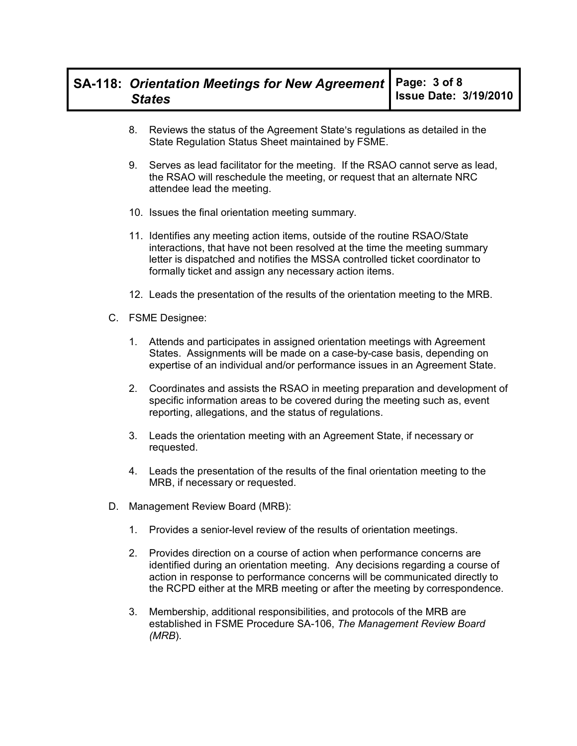- 8. Reviews the status of the Agreement State's regulations as detailed in the State Regulation Status Sheet maintained by FSME.
- 9. Serves as lead facilitator for the meeting. If the RSAO cannot serve as lead, the RSAO will reschedule the meeting, or request that an alternate NRC attendee lead the meeting.
- 10. Issues the final orientation meeting summary.
- 11. Identifies any meeting action items, outside of the routine RSAO/State interactions, that have not been resolved at the time the meeting summary letter is dispatched and notifies the MSSA controlled ticket coordinator to formally ticket and assign any necessary action items.
- 12. Leads the presentation of the results of the orientation meeting to the MRB.
- C. FSME Designee:
	- 1. Attends and participates in assigned orientation meetings with Agreement States. Assignments will be made on a case-by-case basis, depending on expertise of an individual and/or performance issues in an Agreement State.
	- 2. Coordinates and assists the RSAO in meeting preparation and development of specific information areas to be covered during the meeting such as, event reporting, allegations, and the status of regulations.
	- 3. Leads the orientation meeting with an Agreement State, if necessary or requested.
	- 4. Leads the presentation of the results of the final orientation meeting to the MRB, if necessary or requested.
- D. Management Review Board (MRB):
	- 1. Provides a senior-level review of the results of orientation meetings.
	- 2. Provides direction on a course of action when performance concerns are identified during an orientation meeting. Any decisions regarding a course of action in response to performance concerns will be communicated directly to the RCPD either at the MRB meeting or after the meeting by correspondence.
	- 3. Membership, additional responsibilities, and protocols of the MRB are established in FSME Procedure SA-106, *The Management Review Board (MRB*).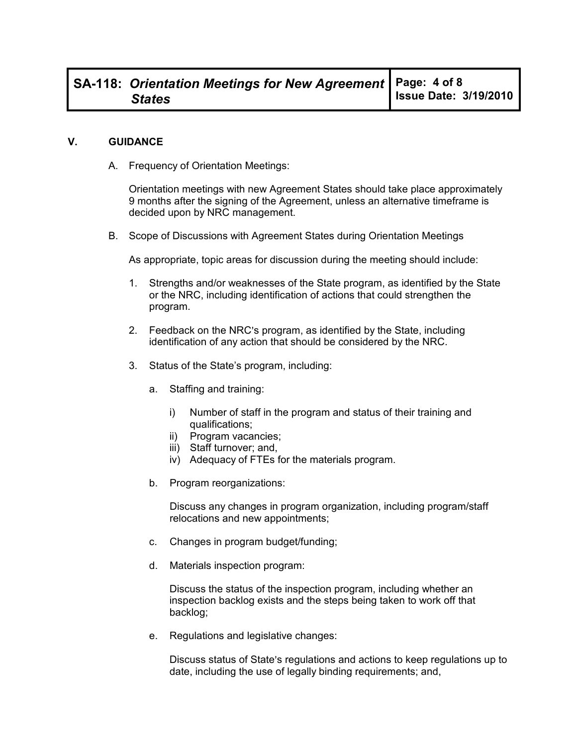#### **V. GUIDANCE**

A. Frequency of Orientation Meetings:

Orientation meetings with new Agreement States should take place approximately 9 months after the signing of the Agreement, unless an alternative timeframe is decided upon by NRC management.

B. Scope of Discussions with Agreement States during Orientation Meetings

As appropriate, topic areas for discussion during the meeting should include:

- 1. Strengths and/or weaknesses of the State program, as identified by the State or the NRC, including identification of actions that could strengthen the program.
- 2. Feedback on the NRC's program, as identified by the State, including identification of any action that should be considered by the NRC.
- 3. Status of the State's program, including:
	- a. Staffing and training:
		- i) Number of staff in the program and status of their training and qualifications;
		- ii) Program vacancies;
		- iii) Staff turnover; and,
		- iv) Adequacy of FTEs for the materials program.
	- b. Program reorganizations:

Discuss any changes in program organization, including program/staff relocations and new appointments;

- c. Changes in program budget/funding;
- d. Materials inspection program:

Discuss the status of the inspection program, including whether an inspection backlog exists and the steps being taken to work off that backlog;

e. Regulations and legislative changes:

Discuss status of State's regulations and actions to keep regulations up to date, including the use of legally binding requirements; and,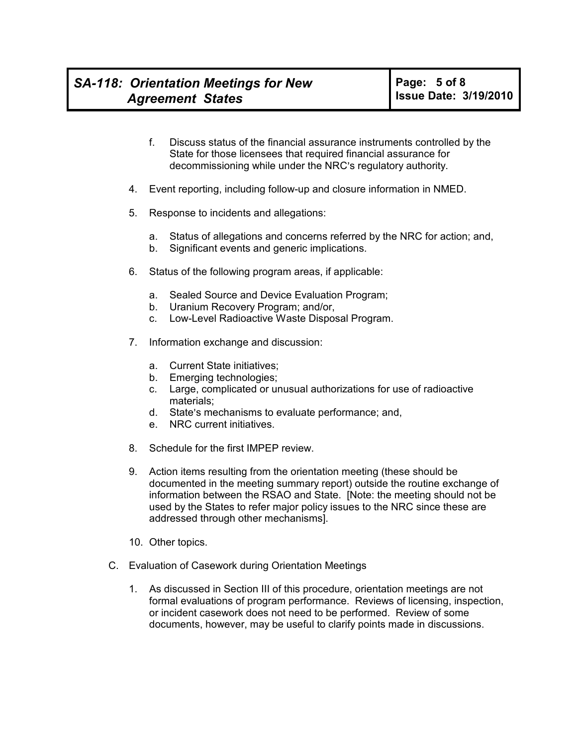- f. Discuss status of the financial assurance instruments controlled by the State for those licensees that required financial assurance for decommissioning while under the NRC's regulatory authority.
- 4. Event reporting, including follow-up and closure information in NMED.
- 5. Response to incidents and allegations:
	- a. Status of allegations and concerns referred by the NRC for action; and,
	- b. Significant events and generic implications.
- 6. Status of the following program areas, if applicable:
	- a. Sealed Source and Device Evaluation Program;
	- b. Uranium Recovery Program; and/or,
	- c. Low-Level Radioactive Waste Disposal Program.
- 7. Information exchange and discussion:
	- a. Current State initiatives;
	- b. Emerging technologies;
	- c. Large, complicated or unusual authorizations for use of radioactive materials;
	- d. State's mechanisms to evaluate performance; and,
	- e. NRC current initiatives.
- 8. Schedule for the first IMPEP review.
- 9. Action items resulting from the orientation meeting (these should be documented in the meeting summary report) outside the routine exchange of information between the RSAO and State. [Note: the meeting should not be used by the States to refer major policy issues to the NRC since these are addressed through other mechanisms].
- 10. Other topics.
- C. Evaluation of Casework during Orientation Meetings
	- 1. As discussed in Section III of this procedure, orientation meetings are not formal evaluations of program performance. Reviews of licensing, inspection, or incident casework does not need to be performed. Review of some documents, however, may be useful to clarify points made in discussions.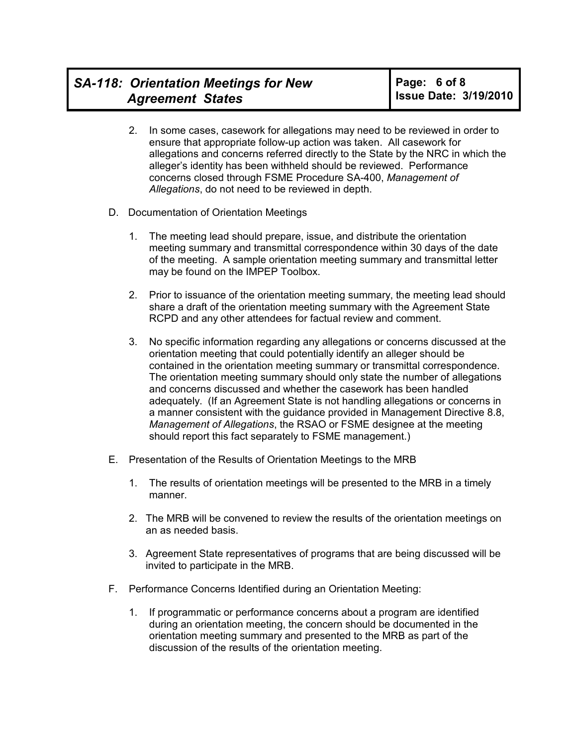- 2. In some cases, casework for allegations may need to be reviewed in order to ensure that appropriate follow-up action was taken. All casework for allegations and concerns referred directly to the State by the NRC in which the alleger's identity has been withheld should be reviewed. Performance concerns closed through FSME Procedure SA-400, *Management of Allegations*, do not need to be reviewed in depth.
- D. Documentation of Orientation Meetings
	- 1. The meeting lead should prepare, issue, and distribute the orientation meeting summary and transmittal correspondence within 30 days of the date of the meeting. A sample orientation meeting summary and transmittal letter may be found on the IMPEP Toolbox.
	- 2. Prior to issuance of the orientation meeting summary, the meeting lead should share a draft of the orientation meeting summary with the Agreement State RCPD and any other attendees for factual review and comment.
	- 3. No specific information regarding any allegations or concerns discussed at the orientation meeting that could potentially identify an alleger should be contained in the orientation meeting summary or transmittal correspondence. The orientation meeting summary should only state the number of allegations and concerns discussed and whether the casework has been handled adequately. (If an Agreement State is not handling allegations or concerns in a manner consistent with the guidance provided in Management Directive 8.8, *Management of Allegations*, the RSAO or FSME designee at the meeting should report this fact separately to FSME management.)
- E. Presentation of the Results of Orientation Meetings to the MRB
	- 1. The results of orientation meetings will be presented to the MRB in a timely manner.
	- 2. The MRB will be convened to review the results of the orientation meetings on an as needed basis.
	- 3. Agreement State representatives of programs that are being discussed will be invited to participate in the MRB.
- F. Performance Concerns Identified during an Orientation Meeting:
	- 1. If programmatic or performance concerns about a program are identified during an orientation meeting, the concern should be documented in the orientation meeting summary and presented to the MRB as part of the discussion of the results of the orientation meeting.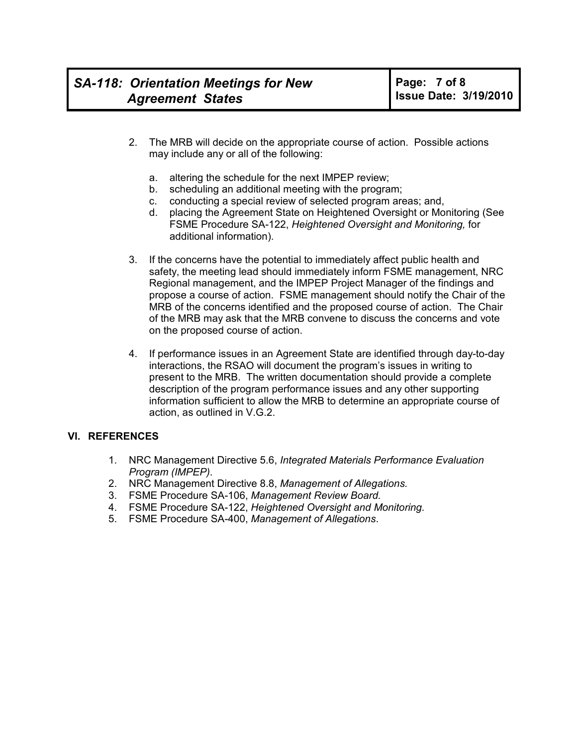- 2. The MRB will decide on the appropriate course of action. Possible actions may include any or all of the following:
	- a. altering the schedule for the next IMPEP review;
	- b. scheduling an additional meeting with the program;
	- c. conducting a special review of selected program areas; and,
	- d. placing the Agreement State on Heightened Oversight or Monitoring (See FSME Procedure SA-122, *Heightened Oversight and Monitoring,* for additional information).
- 3. If the concerns have the potential to immediately affect public health and safety, the meeting lead should immediately inform FSME management, NRC Regional management, and the IMPEP Project Manager of the findings and propose a course of action. FSME management should notify the Chair of the MRB of the concerns identified and the proposed course of action. The Chair of the MRB may ask that the MRB convene to discuss the concerns and vote on the proposed course of action.
- 4. If performance issues in an Agreement State are identified through day-to-day interactions, the RSAO will document the program's issues in writing to present to the MRB. The written documentation should provide a complete description of the program performance issues and any other supporting information sufficient to allow the MRB to determine an appropriate course of action, as outlined in V.G.2.

### **VI. REFERENCES**

- 1. NRC Management Directive 5.6, *Integrated Materials Performance Evaluation Program (IMPEP)*.
- 2. NRC Management Directive 8.8, *Management of Allegations.*
- 3. FSME Procedure SA-106, *Management Review Board.*
- 4. FSME Procedure SA-122, *Heightened Oversight and Monitoring.*
- 5. FSME Procedure SA-400, *Management of Allegations*.